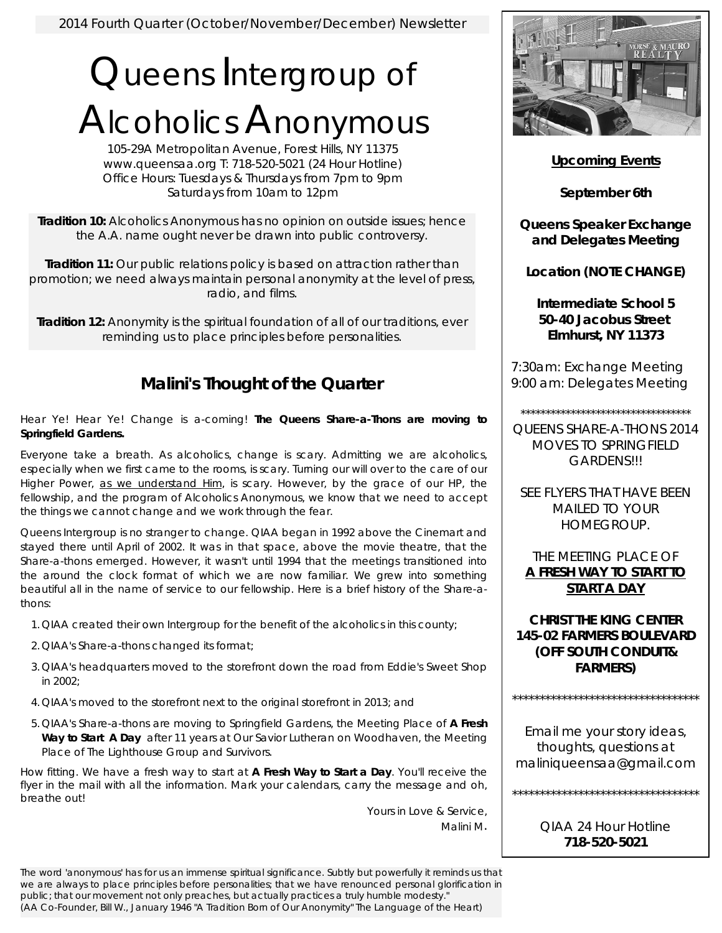## Queens Intergroup of Alcoholics Anonymous

105-29A Metropolitan Avenue, Forest Hills, NY 11375 www.queensaa.org T: 718-520-5021 (24 Hour Hotline) Office Hours: Tuesdays & Thursdays from 7pm to 9pm Saturdays from 10am to 12pm

**Tradition 10:** Alcoholics Anonymous has no opinion on outside issues; hence the A.A. name ought never be drawn into public controversy.

**Tradition 11:** Our public relations policy is based on attraction rather than promotion; we need always maintain personal anonymity at the level of press, radio, and films.

**Tradition 12:** Anonymity is the spiritual foundation of all of our traditions, ever reminding us to place principles before personalities.

## **Malini's Thought of the Quarter**

Hear Ye! Hear Ye! Change is a-coming! *The Queens Share-a-Thons are moving to Springfield Gardens.* 

Everyone take a breath. As alcoholics, change is scary. Admitting we are alcoholics, especially when we first came to the rooms, is scary. Turning our will over to the care of our Higher Power, as we understand Him, is scary. However, by the grace of our HP, the fellowship, and the program of Alcoholics Anonymous, we know that we need to accept the things we cannot change and we work through the fear.

Queens Intergroup is no stranger to change. QIAA began in 1992 above the Cinemart and stayed there until April of 2002. It was in that space, above the movie theatre, that the Share-a-thons emerged. However, it wasn't until 1994 that the meetings transitioned into the around the clock format of which we are now familiar. We grew into something beautiful all in the name of service to our fellowship. Here is a brief history of the Share-athons:

- 1. QIAA created their own Intergroup for the benefit of the alcoholics in this county;
- 2. QIAA's Share-a-thons changed its format;
- 3. QIAA's headquarters moved to the storefront down the road from Eddie's Sweet Shop in 2002;
- 4. QIAA's moved to the storefront next to the original storefront in 2013; and
- 5. QIAA's Share-a-thons are moving to Springfield Gardens, the Meeting Place of **A Fresh Way to Start A Day** after 11 years at Our Savior Lutheran on Woodhaven, the Meeting Place of The Lighthouse Group and Survivors.

How fitting. We have a fresh way to start at **A Fresh Way to Start a Day**. You'll receive the flyer in the mail with all the information. Mark your calendars, carry the message and oh, breathe out!

Yours in Love & Service, Malini M.

The word 'anonymous' has for us an immense spiritual significance. Subtly but powerfully it reminds us that we are always to place principles before personalities; that we have renounced personal glorification in public; that our movement not only preaches, but actually practices a truly humble modesty." (AA Co-Founder, Bill W., January 1946 "A Tradition Born of Our Anonymity" The Language of the Heart)



**Upcoming Events**

**September 6th** 

**Queens Speaker Exchange and Delegates Meeting** 

**Location (NOTE CHANGE)** 

**Intermediate School 5 50-40 Jacobus Street Elmhurst, NY 11373**

7:30am: Exchange Meeting 9:00 am: Delegates Meeting

\*\*\*\*\*\*\*\*\*\*\*\*\*\*\*\*\*\*\*\*\*\*\*\*\*\*\*\*\*\*\*\*\*\*

QUEENS SHARE-A-THONS 2014 MOVES TO SPRINGFIELD GARDENS!!!

SEE FLYERS THAT HAVE BEEN MAILED TO YOUR HOMEGROUP.

THE MEETING PLACE OF **A FRESH WAY TO START TO START A DAY**

**CHRIST THE KING CENTER 145-02 FARMERS BOULEVARD (OFF SOUTH CONDUIT& FARMERS)** 

\*\*\*\*\*\*\*\*\*\*\*\*\*\*\*\*\*\*\*\*\*\*\*\*\*\*\*\*\*\*\*\*\*\*

Email me your story ideas, thoughts, questions at maliniqueensaa@gmail.com

\*\*\*\*\*\*\*\*\*\*\*\*\*\*\*\*\*\*\*\*\*\*\*\*\*\*\*\*\*\*\*\*\*\*

QIAA 24 Hour Hotline **718-520-5021**